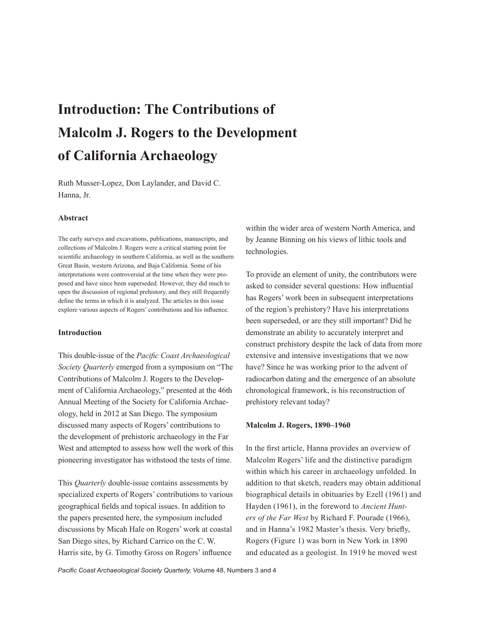# **Introduction: The Contributions of Malcolm J. Rogers to the Development of California Archaeology**

Ruth Musser-Lopez, Don Laylander, and David C. Hanna, Jr.

### **Abstract**

The early surveys and excavations, publications, manuscripts, and collections of Malcolm J. Rogers were a critical starting point for scientific archaeology in southern California, as well as the southern Great Basin, western Arizona, and Baja California. Some of his interpretations were controversial at the time when they were proposed and have since been superseded. However, they did much to open the discussion of regional prehistory, and they still frequently define the terms in which it is analyzed. The articles in this issue explore various aspects of Rogers' contributions and his influence.

### **Introduction**

This double-issue of the *Pacific Coast Archaeological Society Quarterly* emerged from a symposium on "The Contributions of Malcolm J. Rogers to the Development of California Archaeology," presented at the 46th Annual Meeting of the Society for California Archaeology, held in 2012 at San Diego. The symposium discussed many aspects of Rogers' contributions to the development of prehistoric archaeology in the Far West and attempted to assess how well the work of this pioneering investigator has withstood the tests of time.

This *Quarterly* double-issue contains assessments by specialized experts of Rogers' contributions to various geographical fields and topical issues. In addition to the papers presented here, the symposium included discussions by Micah Hale on Rogers' work at coastal San Diego sites, by Richard Carrico on the C. W. Harris site, by G. Timothy Gross on Rogers' influence

within the wider area of western North America, and by Jeanne Binning on his views of lithic tools and technologies.

To provide an element of unity, the contributors were asked to consider several questions: How influential has Rogers' work been in subsequent interpretations of the region's prehistory? Have his interpretations been superseded, or are they still important? Did he demonstrate an ability to accurately interpret and construct prehistory despite the lack of data from more extensive and intensive investigations that we now have? Since he was working prior to the advent of radiocarbon dating and the emergence of an absolute chronological framework, is his reconstruction of prehistory relevant today?

### **Malcolm J. Rogers, 1890–1960**

In the first article, Hanna provides an overview of Malcolm Rogers' life and the distinctive paradigm within which his career in archaeology unfolded. In addition to that sketch, readers may obtain additional biographical details in obituaries by Ezell (1961) and Hayden (1961), in the foreword to *Ancient Hunters of the Far West* by Richard F. Pourade (1966), and in Hanna's 1982 Master's thesis. Very briefly, Rogers (Figure 1) was born in New York in 1890 and educated as a geologist. In 1919 he moved west

*Pacific Coast Archaeological Society Quarterly,* Volume 48, Numbers 3 and 4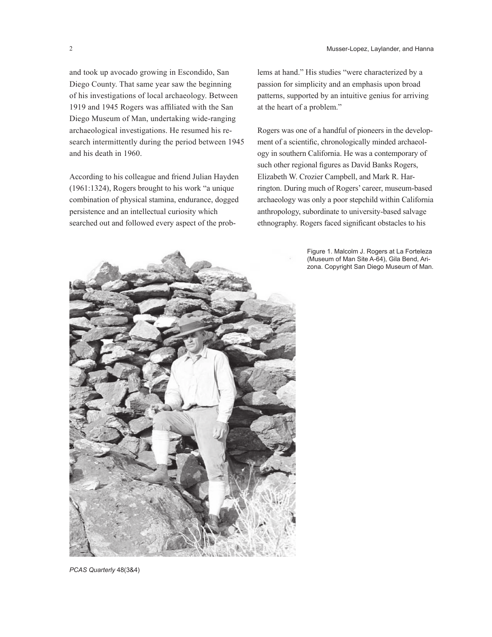and took up avocado growing in Escondido, San Diego County. That same year saw the beginning of his investigations of local archaeology. Between 1919 and 1945 Rogers was affiliated with the San Diego Museum of Man, undertaking wide-ranging archaeological investigations. He resumed his research intermittently during the period between 1945 and his death in 1960.

According to his colleague and friend Julian Hayden (1961:1324), Rogers brought to his work "a unique combination of physical stamina, endurance, dogged persistence and an intellectual curiosity which searched out and followed every aspect of the prob-

lems at hand." His studies "were characterized by a passion for simplicity and an emphasis upon broad patterns, supported by an intuitive genius for arriving at the heart of a problem."

Rogers was one of a handful of pioneers in the development of a scientific, chronologically minded archaeology in southern California. He was a contemporary of such other regional figures as David Banks Rogers, Elizabeth W. Crozier Campbell, and Mark R. Harrington. During much of Rogers' career, museum-based archaeology was only a poor stepchild within California anthropology, subordinate to university-based salvage ethnography. Rogers faced significant obstacles to his

> Figure 1. Malcolm J. Rogers at La Forteleza (Museum of Man Site A-64), Gila Bend, Arizona. Copyright San Diego Museum of Man.

*PCAS Quarterly* 48(3&4)

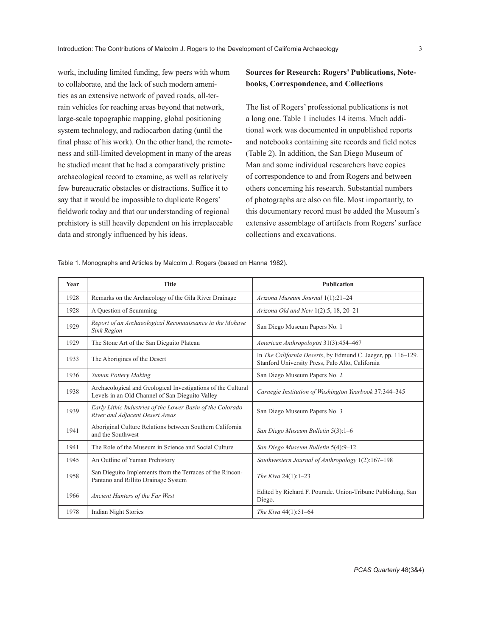work, including limited funding, few peers with whom to collaborate, and the lack of such modern amenities as an extensive network of paved roads, all-terrain vehicles for reaching areas beyond that network, large-scale topographic mapping, global positioning system technology, and radiocarbon dating (until the final phase of his work). On the other hand, the remoteness and still-limited development in many of the areas he studied meant that he had a comparatively pristine archaeological record to examine, as well as relatively few bureaucratic obstacles or distractions. Suffice it to say that it would be impossible to duplicate Rogers' fieldwork today and that our understanding of regional prehistory is still heavily dependent on his irreplaceable data and strongly influenced by his ideas.

# **Sources for Research: Rogers' Publications, Notebooks, Correspondence, and Collections**

The list of Rogers' professional publications is not a long one. Table 1 includes 14 items. Much additional work was documented in unpublished reports and notebooks containing site records and field notes (Table 2). In addition, the San Diego Museum of Man and some individual researchers have copies of correspondence to and from Rogers and between others concerning his research. Substantial numbers of photographs are also on file. Most importantly, to this documentary record must be added the Museum's extensive assemblage of artifacts from Rogers' surface collections and excavations.

Table 1. Monographs and Articles by Malcolm J. Rogers (based on Hanna 1982).

| Year | <b>Title</b>                                                                                                    | <b>Publication</b>                                                                                               |
|------|-----------------------------------------------------------------------------------------------------------------|------------------------------------------------------------------------------------------------------------------|
| 1928 | Remarks on the Archaeology of the Gila River Drainage                                                           | Arizona Museum Journal 1(1):21-24                                                                                |
| 1928 | A Question of Scumming                                                                                          | Arizona Old and New 1(2):5, 18, 20-21                                                                            |
| 1929 | Report of an Archaeological Reconnaissance in the Mohave<br><b>Sink Region</b>                                  | San Diego Museum Papers No. 1                                                                                    |
| 1929 | The Stone Art of the San Dieguito Plateau                                                                       | American Anthropologist 31(3):454-467                                                                            |
| 1933 | The Aborigines of the Desert                                                                                    | In The California Deserts, by Edmund C. Jaeger, pp. 116–129.<br>Stanford University Press, Palo Alto, California |
| 1936 | Yuman Pottery Making                                                                                            | San Diego Museum Papers No. 2                                                                                    |
| 1938 | Archaeological and Geological Investigations of the Cultural<br>Levels in an Old Channel of San Dieguito Valley | Carnegie Institution of Washington Yearbook 37:344-345                                                           |
| 1939 | Early Lithic Industries of the Lower Basin of the Colorado<br>River and Adjacent Desert Areas                   | San Diego Museum Papers No. 3                                                                                    |
| 1941 | Aboriginal Culture Relations between Southern California<br>and the Southwest                                   | San Diego Museum Bulletin 5(3):1-6                                                                               |
| 1941 | The Role of the Museum in Science and Social Culture                                                            | San Diego Museum Bulletin 5(4):9-12                                                                              |
| 1945 | An Outline of Yuman Prehistory                                                                                  | Southwestern Journal of Anthropology 1(2):167–198                                                                |
| 1958 | San Dieguito Implements from the Terraces of the Rincon-<br>Pantano and Rillito Drainage System                 | The Kiva 24(1):1-23                                                                                              |
| 1966 | Ancient Hunters of the Far West                                                                                 | Edited by Richard F. Pourade. Union-Tribune Publishing, San<br>Diego.                                            |
| 1978 | <b>Indian Night Stories</b>                                                                                     | The Kiva 44(1):51-64                                                                                             |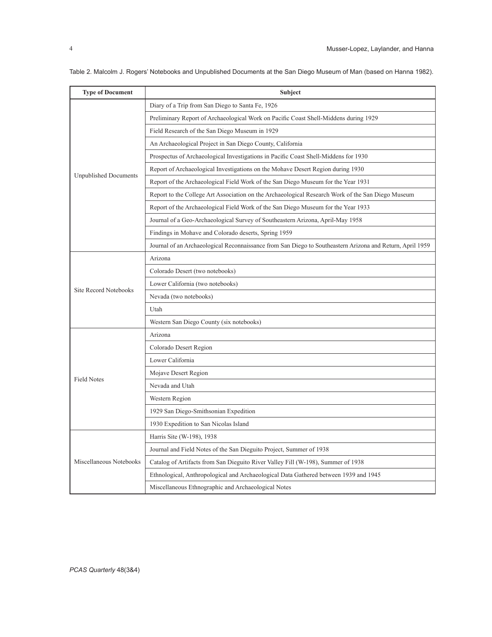| <b>Type of Document</b>      | Subject                                                                                                   |
|------------------------------|-----------------------------------------------------------------------------------------------------------|
|                              | Diary of a Trip from San Diego to Santa Fe, 1926                                                          |
|                              | Preliminary Report of Archaeological Work on Pacific Coast Shell-Middens during 1929                      |
|                              | Field Research of the San Diego Museum in 1929                                                            |
|                              | An Archaeological Project in San Diego County, California                                                 |
|                              | Prospectus of Archaeological Investigations in Pacific Coast Shell-Middens for 1930                       |
|                              | Report of Archaeological Investigations on the Mohave Desert Region during 1930                           |
| <b>Unpublished Documents</b> | Report of the Archaeological Field Work of the San Diego Museum for the Year 1931                         |
|                              | Report to the College Art Association on the Archaeological Research Work of the San Diego Museum         |
|                              | Report of the Archaeological Field Work of the San Diego Museum for the Year 1933                         |
|                              | Journal of a Geo-Archaeological Survey of Southeastern Arizona, April-May 1958                            |
|                              | Findings in Mohave and Colorado deserts, Spring 1959                                                      |
|                              | Journal of an Archaeological Reconnaissance from San Diego to Southeastern Arizona and Return, April 1959 |
|                              | Arizona                                                                                                   |
|                              | Colorado Desert (two notebooks)                                                                           |
|                              | Lower California (two notebooks)                                                                          |
| <b>Site Record Notebooks</b> | Nevada (two notebooks)                                                                                    |
|                              | Utah                                                                                                      |
|                              | Western San Diego County (six notebooks)                                                                  |
|                              | Arizona                                                                                                   |
|                              | Colorado Desert Region                                                                                    |
|                              | Lower California                                                                                          |
| <b>Field Notes</b>           | Mojave Desert Region                                                                                      |
|                              | Nevada and Utah                                                                                           |
|                              | Western Region                                                                                            |
|                              | 1929 San Diego-Smithsonian Expedition                                                                     |
|                              | 1930 Expedition to San Nicolas Island                                                                     |
|                              | Harris Site (W-198), 1938                                                                                 |
|                              | Journal and Field Notes of the San Dieguito Project, Summer of 1938                                       |
| Miscellaneous Notebooks      | Catalog of Artifacts from San Dieguito River Valley Fill (W-198), Summer of 1938                          |
|                              | Ethnological, Anthropological and Archaeological Data Gathered between 1939 and 1945                      |
|                              | Miscellaneous Ethnographic and Archaeological Notes                                                       |

Table 2. Malcolm J. Rogers' Notebooks and Unpublished Documents at the San Diego Museum of Man (based on Hanna 1982).